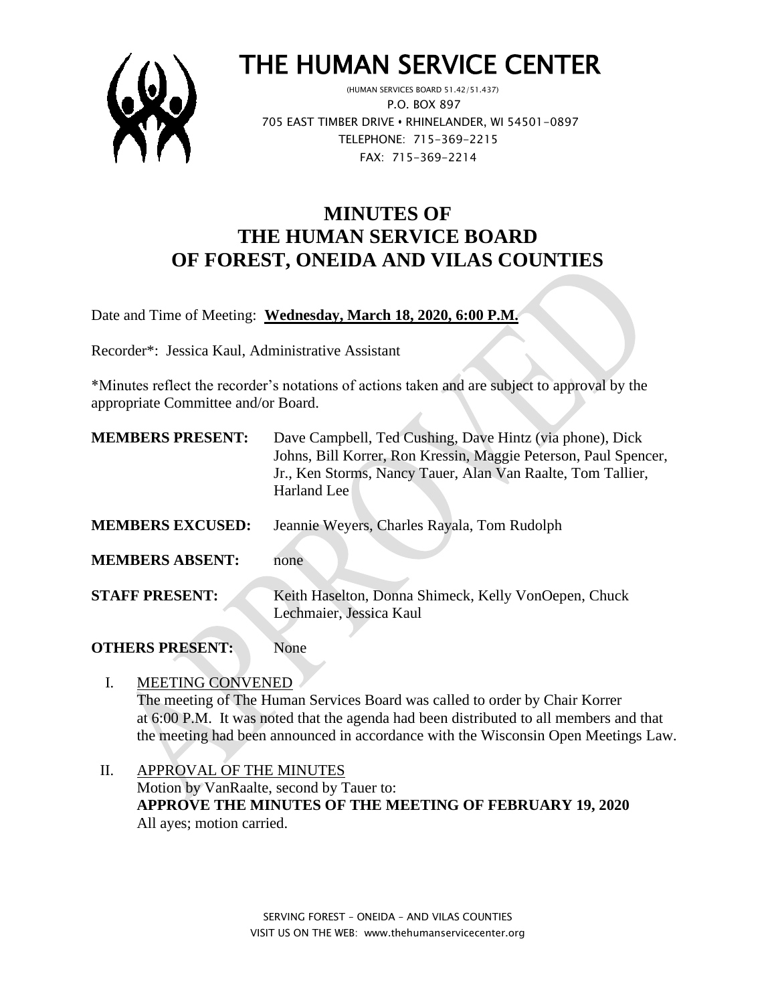

# THE HUMAN SERVICE CENTER

 (HUMAN SERVICES BOARD 51.42/51.437) P.O. BOX 897 705 EAST TIMBER DRIVE **•** RHINELANDER, WI 54501-0897 TELEPHONE: 715-369-2215 FAX: 715-369-2214

## **MINUTES OF THE HUMAN SERVICE BOARD OF FOREST, ONEIDA AND VILAS COUNTIES**

Date and Time of Meeting: **Wednesday, March 18, 2020, 6:00 P.M.**

Recorder\*: Jessica Kaul, Administrative Assistant

\*Minutes reflect the recorder's notations of actions taken and are subject to approval by the appropriate Committee and/or Board.

 $\mathcal{L}$ 

| <b>MEMBERS PRESENT:</b> | Dave Campbell, Ted Cushing, Dave Hintz (via phone), Dick<br>Johns, Bill Korrer, Ron Kressin, Maggie Peterson, Paul Spencer,<br>Jr., Ken Storms, Nancy Tauer, Alan Van Raalte, Tom Tallier,<br>Harland Lee |
|-------------------------|-----------------------------------------------------------------------------------------------------------------------------------------------------------------------------------------------------------|
| <b>MEMBERS EXCUSED:</b> | Jeannie Weyers, Charles Rayala, Tom Rudolph                                                                                                                                                               |
| <b>MEMBERS ABSENT:</b>  | none                                                                                                                                                                                                      |
| <b>STAFF PRESENT:</b>   | Keith Haselton, Donna Shimeck, Kelly VonOepen, Chuck<br>Lechmaier, Jessica Kaul                                                                                                                           |

#### **OTHERS PRESENT:** None

### I. MEETING CONVENED

The meeting of The Human Services Board was called to order by Chair Korrer at 6:00 P.M. It was noted that the agenda had been distributed to all members and that the meeting had been announced in accordance with the Wisconsin Open Meetings Law.

II. APPROVAL OF THE MINUTES Motion by VanRaalte, second by Tauer to: **APPROVE THE MINUTES OF THE MEETING OF FEBRUARY 19, 2020** All ayes; motion carried.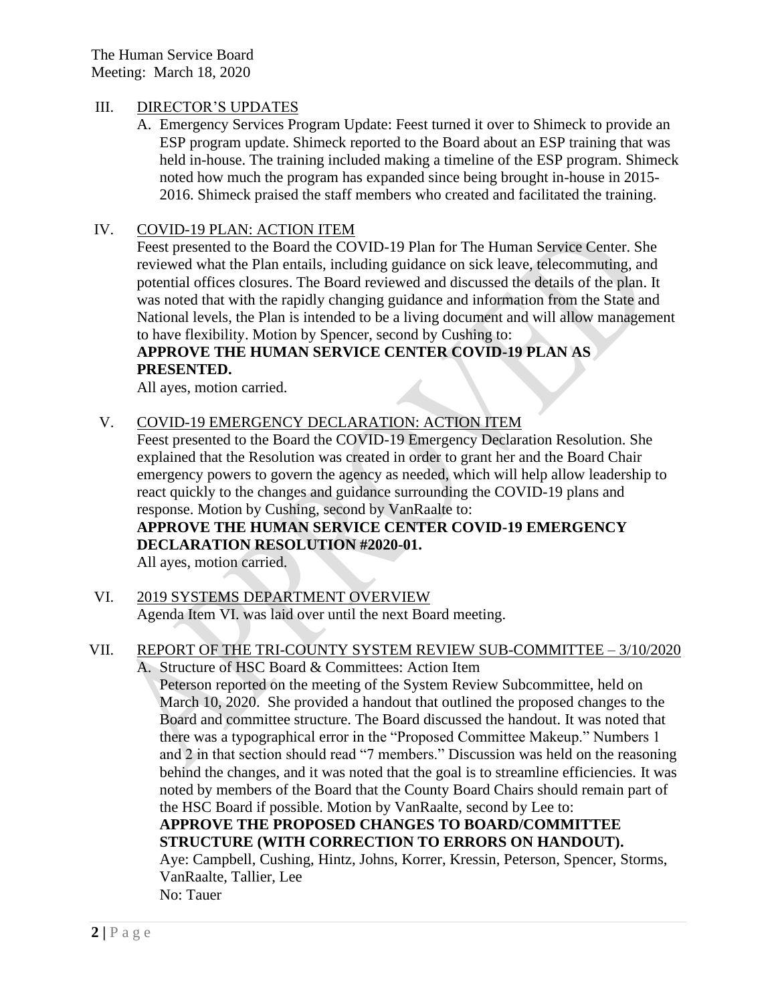The Human Service Board Meeting: March 18, 2020

#### III. DIRECTOR'S UPDATES

A. Emergency Services Program Update: Feest turned it over to Shimeck to provide an ESP program update. Shimeck reported to the Board about an ESP training that was held in-house. The training included making a timeline of the ESP program. Shimeck noted how much the program has expanded since being brought in-house in 2015- 2016. Shimeck praised the staff members who created and facilitated the training.

#### IV. COVID-19 PLAN: ACTION ITEM

Feest presented to the Board the COVID-19 Plan for The Human Service Center. She reviewed what the Plan entails, including guidance on sick leave, telecommuting, and potential offices closures. The Board reviewed and discussed the details of the plan. It was noted that with the rapidly changing guidance and information from the State and National levels, the Plan is intended to be a living document and will allow management to have flexibility. Motion by Spencer, second by Cushing to:

#### **APPROVE THE HUMAN SERVICE CENTER COVID-19 PLAN AS PRESENTED.**

All ayes, motion carried.

#### V. COVID-19 EMERGENCY DECLARATION: ACTION ITEM

Feest presented to the Board the COVID-19 Emergency Declaration Resolution. She explained that the Resolution was created in order to grant her and the Board Chair emergency powers to govern the agency as needed, which will help allow leadership to react quickly to the changes and guidance surrounding the COVID-19 plans and response. Motion by Cushing, second by VanRaalte to:

#### **APPROVE THE HUMAN SERVICE CENTER COVID-19 EMERGENCY DECLARATION RESOLUTION #2020-01.**

All ayes, motion carried.

VI. 2019 SYSTEMS DEPARTMENT OVERVIEW Agenda Item VI. was laid over until the next Board meeting.

#### VII. REPORT OF THE TRI-COUNTY SYSTEM REVIEW SUB-COMMITTEE – 3/10/2020

A. Structure of HSC Board & Committees: Action Item

Peterson reported on the meeting of the System Review Subcommittee, held on March 10, 2020. She provided a handout that outlined the proposed changes to the Board and committee structure. The Board discussed the handout. It was noted that there was a typographical error in the "Proposed Committee Makeup." Numbers 1 and 2 in that section should read "7 members." Discussion was held on the reasoning behind the changes, and it was noted that the goal is to streamline efficiencies. It was noted by members of the Board that the County Board Chairs should remain part of the HSC Board if possible. Motion by VanRaalte, second by Lee to:

**APPROVE THE PROPOSED CHANGES TO BOARD/COMMITTEE STRUCTURE (WITH CORRECTION TO ERRORS ON HANDOUT).**

Aye: Campbell, Cushing, Hintz, Johns, Korrer, Kressin, Peterson, Spencer, Storms, VanRaalte, Tallier, Lee No: Tauer